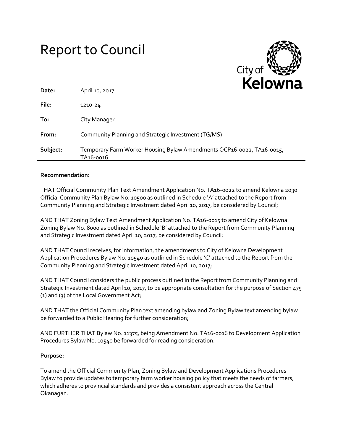# Report to Council



| Date:    | April 10, 2017                                                                     | . |
|----------|------------------------------------------------------------------------------------|---|
| File:    | 1210-24                                                                            |   |
| To:      | City Manager                                                                       |   |
| From:    | Community Planning and Strategic Investment (TG/MS)                                |   |
| Subject: | Temporary Farm Worker Housing Bylaw Amendments OCP16-0022, TA16-0015,<br>TA16-0016 |   |

#### **Recommendation:**

THAT Official Community Plan Text Amendment Application No. TA16-0022 to amend Kelowna 2030 Official Community Plan Bylaw No. 10500 as outlined in Schedule 'A' attached to the Report from Community Planning and Strategic Investment dated April 10, 2017, be considered by Council;

AND THAT Zoning Bylaw Text Amendment Application No. TA16-0015 to amend City of Kelowna Zoning Bylaw No. 8000 as outlined in Schedule 'B' attached to the Report from Community Planning and Strategic Investment dated April 10, 2017, be considered by Council;

AND THAT Council receives, for information, the amendments to City of Kelowna Development Application Procedures Bylaw No. 10540 as outlined in Schedule 'C' attached to the Report from the Community Planning and Strategic Investment dated April 10, 2017;

AND THAT Council considers the public process outlined in the Report from Community Planning and Strategic Investment dated April 10, 2017, to be appropriate consultation for the purpose of Section 475 (1) and (3) of the Local Government Act;

AND THAT the Official Community Plan text amending bylaw and Zoning Bylaw text amending bylaw be forwarded to a Public Hearing for further consideration;

AND FURTHER THAT Bylaw No. 11375, being Amendment No. TA16-0016 to Development Application Procedures Bylaw No. 10540 be forwarded for reading consideration.

## **Purpose:**

To amend the Official Community Plan, Zoning Bylaw and Development Applications Procedures Bylaw to provide updates to temporary farm worker housing policy that meets the needs of farmers, which adheres to provincial standards and provides a consistent approach across the Central Okanagan.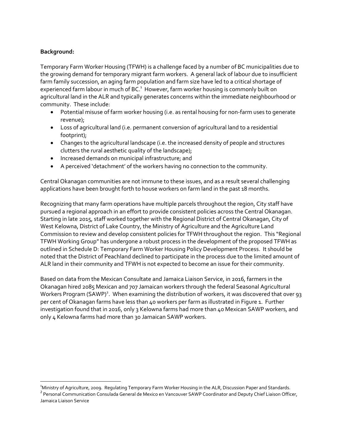## **Background:**

 $\overline{a}$ 

Temporary Farm Worker Housing (TFWH) is a challenge faced by a number of BC municipalities due to the growing demand for temporary migrant farm workers. A general lack of labour due to insufficient farm family succession, an aging farm population and farm size have led to a critical shortage of experienced farm labour in much of BC.<sup>1</sup> However, farm worker housing is commonly built on agricultural land in the ALR and typically generates concerns within the immediate neighbourhood or community. These include:

- Potential misuse of farm worker housing (i.e. as rental housing for non-farm uses to generate revenue);
- Loss of agricultural land (i.e. permanent conversion of agricultural land to a residential footprint);
- Changes to the agricultural landscape (i.e. the increased density of people and structures clutters the rural aesthetic quality of the landscape);
- Increased demands on municipal infrastructure; and
- A perceived 'detachment' of the workers having no connection to the community.

Central Okanagan communities are not immune to these issues, and as a result several challenging applications have been brought forth to house workers on farm land in the past 18 months.

Recognizing that many farm operations have multiple parcels throughout the region, City staff have pursued a regional approach in an effort to provide consistent policies across the Central Okanagan. Starting in late 2015, staff worked together with the Regional District of Central Okanagan, City of West Kelowna, District of Lake Country, the Ministry of Agriculture and the Agriculture Land Commission to review and develop consistent policies for TFWH throughout the region. This "Regional TFWH Working Group" has undergone a robust process in the development of the proposed TFWH as outlined in Schedule D: Temporary Farm Worker Housing Policy Development Process. It should be noted that the District of Peachland declined to participate in the process due to the limited amount of ALR land in their community and TFWH is not expected to become an issue for their community.

Based on data from the Mexican Consultate and Jamaica Liaison Service, in 2016, farmers in the Okanagan hired 2085 Mexican and 707 Jamaican workers through the federal Seasonal Agricultural Workers Program (SAWP)<sup>2</sup>. When examining the distribution of workers, it was discovered that over 93 per cent of Okanagan farms have less than 40 workers per farm as illustrated in Figure 1. Further investigation found that in 2016, only 3 Kelowna farms had more than 40 Mexican SAWP workers, and only 4 Kelowna farms had more than 30 Jamaican SAWP workers.

<sup>&</sup>lt;sup>1</sup>Ministry of Agriculture, 2009. Regulating Temporary Farm Worker Housing in the ALR, Discussion Paper and Standards.

<sup>&</sup>lt;sup>2</sup> Personal Communication Consulada General de Mexico en Vancouver SAWP Coordinator and Deputy Chief Liaison Officer, Jamaica Liaison Service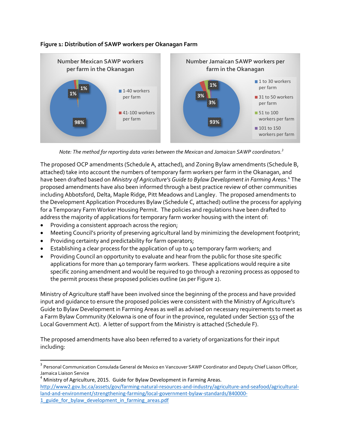

# **Figure 1: Distribution of SAWP workers per Okanagan Farm**



The proposed OCP amendments (Schedule A, attached), and Zoning Bylaw amendments (Schedule B, attached) take into account the numbers of temporary farm workers per farm in the Okanagan, and have been drafted based on *Ministry of Agriculture's Guide to Bylaw Development in Farming Areas.* 4 The proposed amendments have also been informed through a best practice review of other communities including Abbotsford, Delta, Maple Ridge, Pitt Meadows and Langley. The proposed amendments to the Development Application Procedures Bylaw (Schedule C, attached) outline the process for applying for a Temporary Farm Worker Housing Permit. The policies and regulations have been drafted to address the majority of applications for temporary farm worker housing with the intent of:

• Providing a consistent approach across the region;

l

- Meeting Council's priority of preserving agricultural land by minimizing the development footprint;
- Providing certainty and predictability for farm operators;
- Establishing a clear process for the application of up to 40 temporary farm workers; and
- Providing Council an opportunity to evaluate and hear from the public for those site specific applications for more than 40 temporary farm workers. These applications would require a site specific zoning amendment and would be required to go through a rezoning process as opposed to the permit process these proposed policies outline (as per Figure 2).

Ministry of Agriculture staff have been involved since the beginning of the process and have provided input and guidance to ensure the proposed policies were consistent with the Ministry of Agriculture's Guide to Bylaw Development in Farming Areas as well as advised on necessary requirements to meet as a Farm Bylaw Community (Kelowna is one of four in the province, regulated under Section 553 of the Local Government Act). A letter of support from the Ministry is attached (Schedule F).

The proposed amendments have also been referred to a variety of organizations for their input including:

<sup>&</sup>lt;sup>3</sup> Personal Communication Consulada General de Mexico en Vancouver SAWP Coordinator and Deputy Chief Liaison Officer, Jamaica Liaison Service

 $4$  Ministry of Agriculture, 2015. Guide for Bylaw Development in Farming Areas. [http://www2.gov.bc.ca/assets/gov/farming-natural-resources-and-industry/agriculture-and-seafood/agricultural](http://www2.gov.bc.ca/assets/gov/farming-natural-resources-and-industry/agriculture-and-seafood/agricultural-land-and-environment/strengthening-farming/local-government-bylaw-standards/840000-1_guide_for_bylaw_development_in_farming_areas.pdf)[land-and-environment/strengthening-farming/local-government-bylaw-standards/840000-](http://www2.gov.bc.ca/assets/gov/farming-natural-resources-and-industry/agriculture-and-seafood/agricultural-land-and-environment/strengthening-farming/local-government-bylaw-standards/840000-1_guide_for_bylaw_development_in_farming_areas.pdf) 1 guide for bylaw development in farming areas.pdf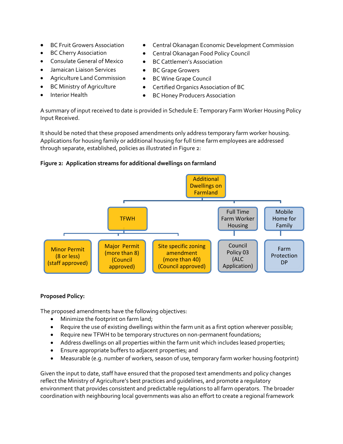- 
- 
- Consulate General of Mexico BC Cattlemen's Association
- Jamaican Liaison Services BC Grape Growers
- Agriculture Land Commission BC Wine Grape Council
- 
- 
- BC Fruit Growers Association Central Okanagan Economic Development Commission
	- BC Cherry Association **Canagan Food Policy Council** 
		-
		-
		-
- BC Ministry of Agriculture Certified Organics Association of BC
	- Interior Health **Calculation BC Honey Producers Association**

A summary of input received to date is provided in Schedule E: Temporary Farm Worker Housing Policy Input Received.

It should be noted that these proposed amendments only address temporary farm worker housing. Applications for housing family or additional housing for full time farm employees are addressed through separate, established, policies as illustrated in Figure 2:

## **Figure 2: Application streams for additional dwellings on farmland**



## **Proposed Policy:**

The proposed amendments have the following objectives:

- Minimize the footprint on farm land;
- Require the use of existing dwellings within the farm unit as a first option wherever possible;
- Require new TFWH to be temporary structures on non-permanent foundations;
- Address dwellings on all properties within the farm unit which includes leased properties;
- Ensure appropriate buffers to adjacent properties; and
- Measurable (e.g. number of workers, season of use, temporary farm worker housing footprint)

Given the input to date, staff have ensured that the proposed text amendments and policy changes reflect the Ministry of Agriculture's best practices and guidelines, and promote a regulatory environment that provides consistent and predictable regulations to all farm operators. The broader coordination with neighbouring local governments was also an effort to create a regional framework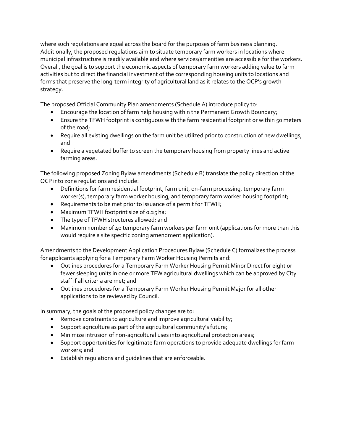where such regulations are equal across the board for the purposes of farm business planning. Additionally, the proposed regulations aim to situate temporary farm workers in locations where municipal infrastructure is readily available and where services/amenities are accessible for the workers. Overall, the goal is to support the economic aspects of temporary farm workers adding value to farm activities but to direct the financial investment of the corresponding housing units to locations and forms that preserve the long-term integrity of agricultural land as it relates to the OCP's growth strategy.

The proposed Official Community Plan amendments (Schedule A) introduce policy to:

- Encourage the location of farm help housing within the Permanent Growth Boundary;
- Ensure the TFWH footprint is contiguous with the farm residential footprint or within 50 meters of the road;
- Require all existing dwellings on the farm unit be utilized prior to construction of new dwellings; and
- Require a vegetated buffer to screen the temporary housing from property lines and active farming areas.

The following proposed Zoning Bylaw amendments (Schedule B) translate the policy direction of the OCP into zone regulations and include:

- Definitions for farm residential footprint, farm unit, on-farm processing, temporary farm worker(s), temporary farm worker housing, and temporary farm worker housing footprint;
- Requirements to be met prior to issuance of a permit for TFWH;
- Maximum TFWH footprint size of 0.25 ha;
- The type of TFWH structures allowed; and
- Maximum number of 40 temporary farm workers per farm unit (applications for more than this would require a site specific zoning amendment application).

Amendments to the Development Application Procedures Bylaw (Schedule C) formalizes the process for applicants applying for a Temporary Farm Worker Housing Permits and:

- Outlines procedures for a Temporary Farm Worker Housing Permit Minor Direct for eight or fewer sleeping units in one or more TFW agricultural dwellings which can be approved by City staff if all criteria are met; and
- Outlines procedures for a Temporary Farm Worker Housing Permit Major for all other applications to be reviewed by Council.

In summary, the goals of the proposed policy changes are to:

- Remove constraints to agriculture and improve agricultural viability;
- Support agriculture as part of the agricultural community's future;
- Minimize intrusion of non-agricultural uses into agricultural protection areas;
- Support opportunities for legitimate farm operations to provide adequate dwellings for farm workers; and
- Establish regulations and guidelines that are enforceable.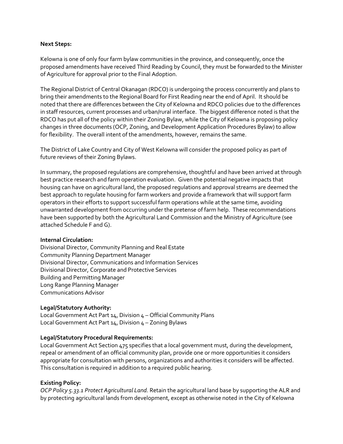#### **Next Steps:**

Kelowna is one of only four farm bylaw communities in the province, and consequently, once the proposed amendments have received Third Reading by Council, they must be forwarded to the Minister of Agriculture for approval prior to the Final Adoption.

The Regional District of Central Okanagan (RDCO) is undergoing the process concurrently and plans to bring their amendments to the Regional Board for First Reading near the end of April. It should be noted that there are differences between the City of Kelowna and RDCO policies due to the differences in staff resources, current processes and urban/rural interface. The biggest difference noted is that the RDCO has put all of the policy within their Zoning Bylaw, while the City of Kelowna is proposing policy changes in three documents (OCP, Zoning, and Development Application Procedures Bylaw) to allow for flexibility. The overall intent of the amendments, however, remains the same.

The District of Lake Country and City of West Kelowna will consider the proposed policy as part of future reviews of their Zoning Bylaws.

In summary, the proposed regulations are comprehensive, thoughtful and have been arrived at through best practice research and farm operation evaluation. Given the potential negative impacts that housing can have on agricultural land, the proposed regulations and approval streams are deemed the best approach to regulate housing for farm workers and provide a framework that will support farm operators in their efforts to support successful farm operations while at the same time, avoiding unwarranted development from occurring under the pretense of farm help. These recommendations have been supported by both the Agricultural Land Commission and the Ministry of Agriculture (see attached Schedule F and G).

#### **Internal Circulation:**

Divisional Director, Community Planning and Real Estate Community Planning Department Manager Divisional Director, Communications and Information Services Divisional Director, Corporate and Protective Services Building and Permitting Manager Long Range Planning Manager Communications Advisor

#### **Legal/Statutory Authority:**

Local Government Act Part 14, Division 4 – Official Community Plans Local Government Act Part 14, Division 4 - Zoning Bylaws

#### **Legal/Statutory Procedural Requirements:**

Local Government Act Section 475 specifies that a local government must, during the development, repeal or amendment of an official community plan, provide one or more opportunities it considers appropriate for consultation with persons, organizations and authorities it considers will be affected. This consultation is required in addition to a required public hearing.

#### **Existing Policy:**

*OCP Policy 5.33.1 Protect Agricultural Land*. Retain the agricultural land base by supporting the ALR and by protecting agricultural lands from development, except as otherwise noted in the City of Kelowna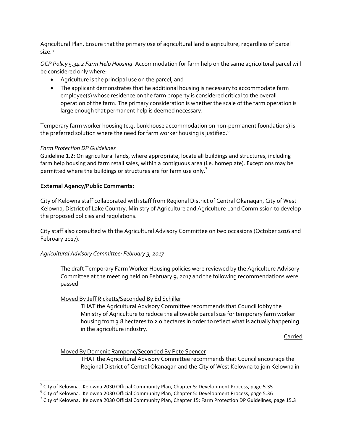Agricultural Plan. Ensure that the primary use of agricultural land is agriculture, regardless of parcel size.<sup>5</sup>

*OCP Policy 5.34.2 Farm Help Housing*. Accommodation for farm help on the same agricultural parcel will be considered only where:

- Agriculture is the principal use on the parcel, and
- The applicant demonstrates that he additional housing is necessary to accommodate farm employee(s) whose residence on the farm property is considered critical to the overall operation of the farm. The primary consideration is whether the scale of the farm operation is large enough that permanent help is deemed necessary.

Temporary farm worker housing (e.g. bunkhouse accommodation on non-permanent foundations) is the preferred solution where the need for farm worker housing is justified.<sup>6</sup>

#### *Farm Protection DP Guidelines*

 $\overline{\phantom{a}}$ 

Guideline 1.2: On agricultural lands, where appropriate, locate all buildings and structures, including farm help housing and farm retail sales, within a contiguous area (i.e. homeplate). Exceptions may be permitted where the buildings or structures are for farm use only.<sup>7</sup>

#### **External Agency/Public Comments:**

City of Kelowna staff collaborated with staff from Regional District of Central Okanagan, City of West Kelowna, District of Lake Country, Ministry of Agriculture and Agriculture Land Commission to develop the proposed policies and regulations.

City staff also consulted with the Agricultural Advisory Committee on two occasions (October 2016 and February 2017).

## *Agricultural Advisory Committee: February 9, 2017*

The draft Temporary Farm Worker Housing policies were reviewed by the Agriculture Advisory Committee at the meeting held on February 9, 2017 and the following recommendations were passed:

## Moved By Jeff Ricketts/Seconded By Ed Schiller

THAT the Agricultural Advisory Committee recommends that Council lobby the Ministry of Agriculture to reduce the allowable parcel size for temporary farm worker housing from 3.8 hectares to 2.0 hectares in order to reflect what is actually happening in the agriculture industry.

Carried

#### Moved By Domenic Rampone/Seconded By Pete Spencer

THAT the Agricultural Advisory Committee recommends that Council encourage the Regional District of Central Okanagan and the City of West Kelowna to join Kelowna in

<sup>&</sup>lt;sup>5</sup> City of Kelowna. Kelowna 2030 Official Community Plan, Chapter 5: Development Process, page 5.35

<sup>&</sup>lt;sup>6</sup> City of Kelowna. Kelowna 2030 Official Community Plan, Chapter 5: Development Process, page 5.36

 $^7$  City of Kelowna. Kelowna 2030 Official Community Plan, Chapter 15: Farm Protection DP Guidelines, page 15.3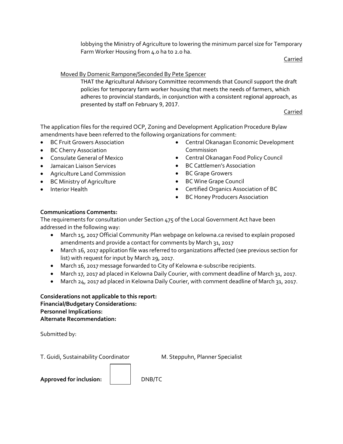lobbying the Ministry of Agriculture to lowering the minimum parcel size for Temporary Farm Worker Housing from 4.0 ha to 2.0 ha.

Carried

## Moved By Domenic Rampone/Seconded By Pete Spencer

THAT the Agricultural Advisory Committee recommends that Council support the draft policies for temporary farm worker housing that meets the needs of farmers, which adheres to provincial standards, in conjunction with a consistent regional approach, as presented by staff on February 9, 2017.

Carried

The application files for the required OCP, Zoning and Development Application Procedure Bylaw amendments have been referred to the following organizations for comment:

- BC Fruit Growers Association
- BC Cherry Association
- Consulate General of Mexico
- Jamaican Liaison Services
- Agriculture Land Commission
- BC Ministry of Agriculture
- **•** Interior Health
- Central Okanagan Economic Development Commission
- Central Okanagan Food Policy Council
- BC Cattlemen's Association
- BC Grape Growers
- BC Wine Grape Council
- Certified Organics Association of BC
- BC Honey Producers Association

## **Communications Comments:**

The requirements for consultation under Section 475 of the Local Government Act have been addressed in the following way:

- March 15, 2017 Official Community Plan webpage on kelowna.ca revised to explain proposed amendments and provide a contact for comments by March 31, 2017
- March 16, 2017 application file was referred to organizations affected (see previous section for list) with request for input by March 29, 2017.
- March 16, 2017 message forwarded to City of Kelowna e-subscribe recipients.
- March 17, 2017 ad placed in Kelowna Daily Courier, with comment deadline of March 31, 2017.
- March 24, 2017 ad placed in Kelowna Daily Courier, with comment deadline of March 31, 2017.

**Considerations not applicable to this report: Financial/Budgetary Considerations: Personnel Implications: Alternate Recommendation:**

Submitted by:

T. Guidi, Sustainability Coordinator M. Steppuhn, Planner Specialist

Approved for inclusion:  $\vert$  DNB/TC